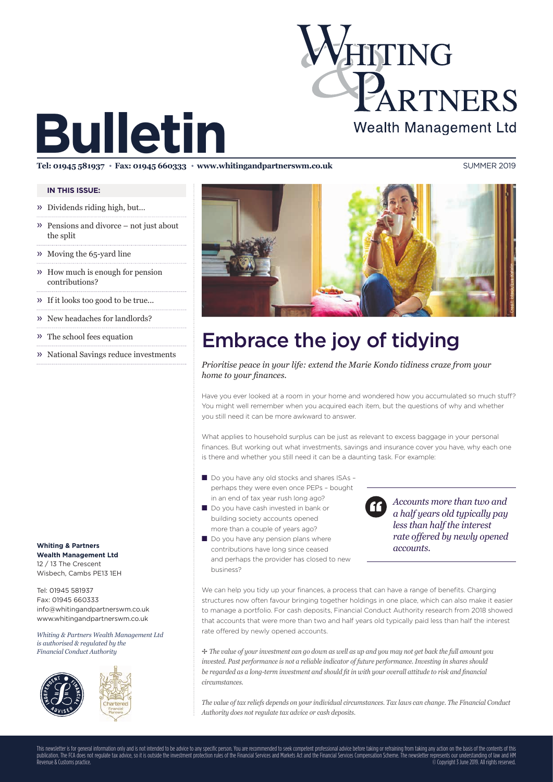# HITING PARTNERS **Wealth Management Ltd**

# **Bulletin**

**Tel: 01945 581937** ● **Fax: 01945 660333** ● **www.whitingandpartnerswm.co.uk** SUMMER 2019

### **IN THIS ISSUE:**

- » Dividends riding high, but…
- » Pensions and divorce not just about the split
- » Moving the 65-yard line
- » How much is enough for pension contributions?
- » If it looks too good to be true...
- » New headaches for landlords?
- » The school fees equation
- » National Savings reduce investments

**Whiting & Partners Wealth Management Ltd** 12 / 13 The Crescent Wisbech, Cambs PE13 1EH

Tel: 01945 581937 Fax: 01945 660333 info@whitingandpartnerswm.co.uk www.whitingandpartnerswm.co.uk

*Whiting & Partners Wealth Management Ltd is authorised & regulated by the Financial Conduct Authority*







# Embrace the joy of tidying

*Prioritise peace in your life: extend the Marie Kondo tidiness craze from your home to your finances.* 

Have you ever looked at a room in your home and wondered how you accumulated so much stuff? You might well remember when you acquired each item, but the questions of why and whether you still need it can be more awkward to answer.

What applies to household surplus can be just as relevant to excess baggage in your personal finances. But working out what investments, savings and insurance cover you have, why each one is there and whether you still need it can be a daunting task. For example:

- Do you have any old stocks and shares ISAs perhaps they were even once PEPs – bought in an end of tax year rush long ago?
- Do you have cash invested in bank or building society accounts opened more than a couple of years ago?
- Do you have any pension plans where contributions have long since ceased and perhaps the provider has closed to new business?

*Accounts more than two and a half years old typically pay less than half the interest rate offered by newly opened accounts.*

We can help you tidy up your finances, a process that can have a range of benefits. Charging structures now often favour bringing together holdings in one place, which can also make it easier to manage a portfolio. For cash deposits, Financial Conduct Authority research from 2018 showed that accounts that were more than two and half years old typically paid less than half the interest rate offered by newly opened accounts.

✢ *The value of your investment can go down as well as up and you may not get back the full amount you invested. Past performance is not a reliable indicator of future performance. Investing in shares should be regarded as a long-term investment and should fit in with your overall attitude to risk and financial circumstances.* 

*The value of tax reliefs depends on your individual circumstances. Tax laws can change. The Financial Conduct Authority does not regulate tax advice or cash deposits.*

This newsletter is for general information only and is not intended to be advice to any specific person. You are recommended to seek competent professional advice before taking or refraining from taking any action on the b publication. The FCA does not regulate tax advice, so it is outside the investment protection rules of the Financial Services and Markets Act and the Financial Services Compensation Scheme. The newsletter represents our un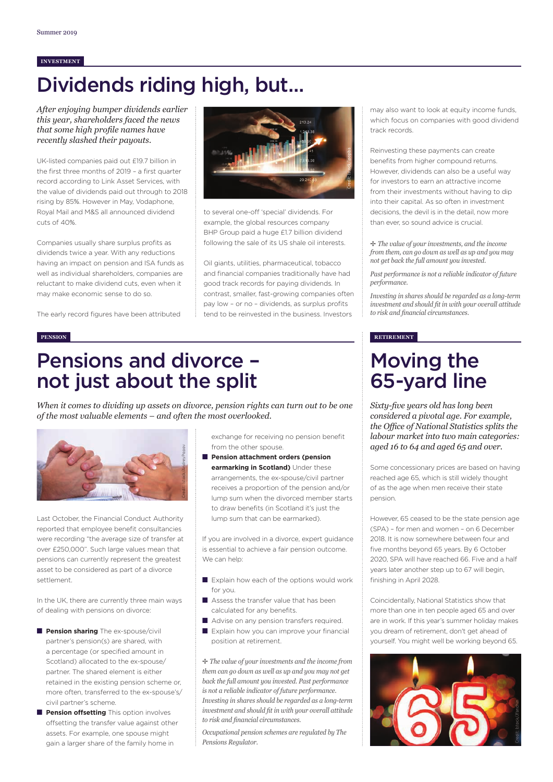#### **INVESTMENT**

## Dividends riding high, but...

*After enjoying bumper dividends earlier this year, shareholders faced the news that some high profile names have recently slashed their payouts.* 

UK-listed companies paid out £19.7 billion in the first three months of 2019 – a first quarter record according to Link Asset Services, with the value of dividends paid out through to 2018 rising by 85%. However in May, Vodaphone, Royal Mail and M&S all announced dividend cuts of 40%.

Companies usually share surplus profits as dividends twice a year. With any reductions having an impact on pension and ISA funds as well as individual shareholders, companies are reluctant to make dividend cuts, even when it may make economic sense to do so.

The early record figures have been attributed



to several one-off 'special' dividends. For example, the global resources company BHP Group paid a huge £1.7 billion dividend following the sale of its US shale oil interests.

Oil giants, utilities, pharmaceutical, tobacco and financial companies traditionally have had good track records for paying dividends. In contrast, smaller, fast-growing companies often pay low - or no - dividends, as surplus profits tend to be reinvested in the business. Investors

### Pensions and divorce – not just about the split

*When it comes to dividing up assets on divorce, pension rights can turn out to be one of the most valuable elements – and often the most overlooked.* 



Last October, the Financial Conduct Authority reported that employee benefit consultancies were recording "the average size of transfer at over £250,000". Such large values mean that pensions can currently represent the greatest asset to be considered as part of a divorce settlement.

In the UK, there are currently three main ways of dealing with pensions on divorce:

- **Pension sharing** The ex-spouse/civil partner's pension(s) are shared, with a percentage (or specified amount in Scotland) allocated to the ex-spouse/ partner. The shared element is either retained in the existing pension scheme or, more often, transferred to the ex-spouse's/ civil partner's scheme.
- **Pension offsetting** This option involves offsetting the transfer value against other assets. For example, one spouse might gain a larger share of the family home in

exchange for receiving no pension benefit from the other spouse.

■ **Pension attachment orders (pension earmarking in Scotland)** Under these arrangements, the ex-spouse/civil partner receives a proportion of the pension and/or lump sum when the divorced member starts to draw benefits (in Scotland it's just the lump sum that can be earmarked).

If you are involved in a divorce, expert quidance is essential to achieve a fair pension outcome. We can help:

- Explain how each of the options would work for you.
- Assess the transfer value that has been calculated for any benefits.
- Advise on any pension transfers required.
- Explain how you can improve your financial position at retirement.

✢ *The value of your investments and the income from them can go down as well as up and you may not get back the full amount you invested. Past performance is not a reliable indicator of future performance. Investing in shares should be regarded as a long-term*  investment and should fit in with your overall attitude  $to$  risk and financial circumstances.

*Occupational pension schemes are regulated by The Pensions Regulator.*

may also want to look at equity income funds. which focus on companies with good dividend track records.

Reinvesting these payments can create benefits from higher compound returns. However, dividends can also be a useful way for investors to earn an attractive income from their investments without having to dip into their capital. As so often in investment decisions, the devil is in the detail, now more than ever, so sound advice is crucial.

✢ *The value of your investments, and the income from them, can go down as well as up and you may not get back the full amount you invested.*

*Past performance is not a reliable indicator of future performance.*

*Investing in shares should be regarded as a long-term*  investment and should fit in with your overall attitude  $to$  risk and financial circumstances.

#### **PENSION RETIREMENT**

### Moving the 65-yard line

*Sixty-fi ve years old has long been considered a pivotal age. For example, the Offi ce of National Statistics splits the labour market into two main categories: aged 16 to 64 and aged 65 and over.*

Some concessionary prices are based on having reached age 65, which is still widely thought of as the age when men receive their state pension.

However, 65 ceased to be the state pension age (SPA) – for men and women – on 6 December 2018. It is now somewhere between four and five months beyond 65 years. By 6 October 2020, SPA will have reached 66. Five and a half years later another step up to 67 will begin, finishing in April 2028.

Coincidentally, National Statistics show that more than one in ten people aged 65 and over are in work. If this year's summer holiday makes you dream of retirement, don't get ahead of yourself. You might well be working beyond 65.

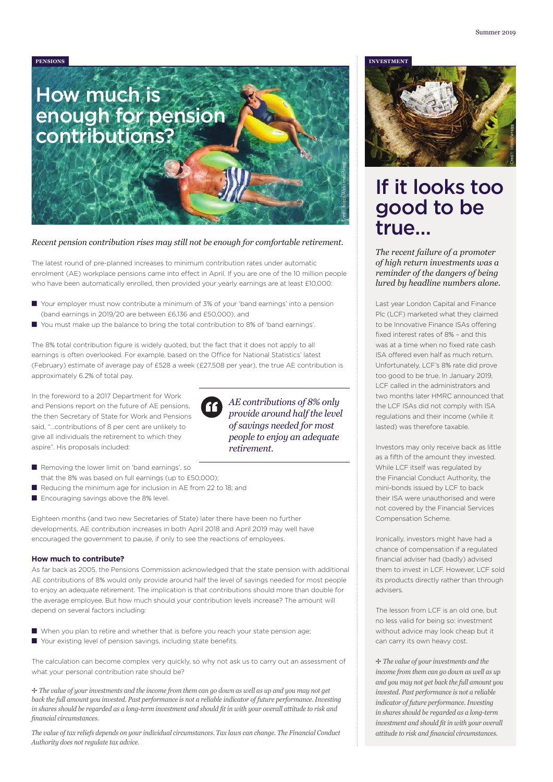

#### *Recent pension contribution rises may still not be enough for comfortable retirement.*

The latest round of pre-planned increases to minimum contribution rates under automatic enrolment (AE) workplace pensions came into effect in April. If you are one of the 10 million people who have been automatically enrolled, then provided your yearly earnings are at least £10,000:

- Your employer must now contribute a minimum of 3% of your 'band earnings' into a pension (band earnings in 2019/20 are between £6,136 and £50,000); and
- You must make up the balance to bring the total contribution to 8% of 'band earnings'.

The 8% total contribution figure is widely quoted, but the fact that it does not apply to all earnings is often overlooked. For example, based on the Office for National Statistics' latest (February) estimate of average pay of £528 a week (£27,508 per year), the true AE contribution is approximately 6.2% of total pay.

In the foreword to a 2017 Department for Work and Pensions report on the future of AE pensions, the then Secretary of State for Work and Pensions said, "…contributions of 8 per cent are unlikely to give all individuals the retirement to which they aspire". His proposals included:

*provide around half the level of savings needed for most people to enjoy an adequate retirement.*

*AE contributions of 8% only* 

- Removing the lower limit on 'band earnings', so that the 8% was based on full earnings (up to £50,000);
- Reducing the minimum age for inclusion in AE from 22 to 18; and
- Encouraging savings above the 8% level.

Eighteen months (and two new Secretaries of State) later there have been no further developments. AE contribution increases in both April 2018 and April 2019 may well have encouraged the government to pause, if only to see the reactions of employees.

#### **How much to contribute?**

As far back as 2005, the Pensions Commission acknowledged that the state pension with additional AE contributions of 8% would only provide around half the level of savings needed for most people to enjoy an adequate retirement. The implication is that contributions should more than double for the average employee. But how much should your contribution levels increase? The amount will depend on several factors including:

- When you plan to retire and whether that is before you reach your state pension age;
- Your existing level of pension savings, including state benefits.

The calculation can become complex very quickly, so why not ask us to carry out an assessment of what your personal contribution rate should be?

✢ *The value of your investments and the income from them can go down as well as up and you may not get back the full amount you invested. Past performance is not a reliable indicator of future performance. Investing* in shares should be regarded as a long-term investment and should fit in with your overall attitude to risk and *fi nancial circumstances.* 

*The value of tax reliefs depends on your individual circumstances. Tax laws can change. The Financial Conduct Authority does not regulate tax advice.*





### If it looks too good to be true…

*The recent failure of a promoter of high return investments was a reminder of the dangers of being lured by headline numbers alone.* 

Last year London Capital and Finance Plc (LCF) marketed what they claimed to be Innovative Finance ISAs offering fixed interest rates of 8% - and this was at a time when no fixed rate cash ISA offered even half as much return. Unfortunately, LCF's 8% rate did prove too good to be true. In January 2019, LCF called in the administrators and two months later HMRC announced that the LCF ISAs did not comply with ISA regulations and their income (while it lasted) was therefore taxable.

Investors may only receive back as little as a fifth of the amount they invested. While LCF itself was regulated by the Financial Conduct Authority, the mini-bonds issued by LCF to back their ISA were unauthorised and were not covered by the Financial Services Compensation Scheme.

Ironically, investors might have had a chance of compensation if a regulated financial adviser had (badly) advised them to invest in LCF. However, LCF sold its products directly rather than through advisers.

The lesson from LCF is an old one, but no less valid for being so: investment without advice may look cheap but it can carry its own heavy cost.

✢ *The value of your investments and the income from them can go down as well as up and you may not get back the full amount you invested. Past performance is not a reliable indicator of future performance. Investing in shares should be regarded as a long-term investment and should fit in with your overall attitude to risk and financial circumstances.*